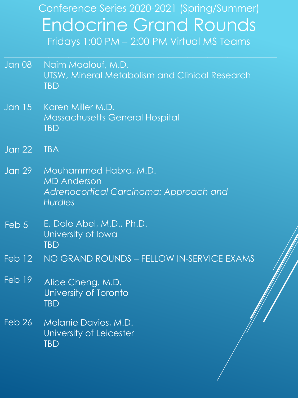Conference Series 2020-2021 (Spring/Summer) Endocrine Grand Rounds Fridays 1:00 PM – 2:00 PM Virtual MS Teams

 $\mathcal{L}_\text{max}$  and  $\mathcal{L}_\text{max}$  and  $\mathcal{L}_\text{max}$  and  $\mathcal{L}_\text{max}$  and  $\mathcal{L}_\text{max}$  and  $\mathcal{L}_\text{max}$  and  $\mathcal{L}_\text{max}$ 

- Jan 08 Naim Maalouf, M.D. UTSW, Mineral Metabolism and Clinical Research **TBD**
- Jan 15 Karen Miller M.D. Massachusetts General Hospital TBD
- Jan 22 TBA
- Jan 29 Mouhammed Habra, M.D. MD Anderson *Adrenocortical Carcinoma: Approach and Hurdles*
- Feb 5 E. Dale Abel, M.D., Ph.D. University of Iowa **TBD**
- Feb 12 NO GRAND ROUNDS FELLOW IN-SERVICE EXAMS
- Feb 19 Alice Cheng. M.D. University of Toronto **TBD**
- Feb 26 Melanie Davies, M.D. University of Leicester TBD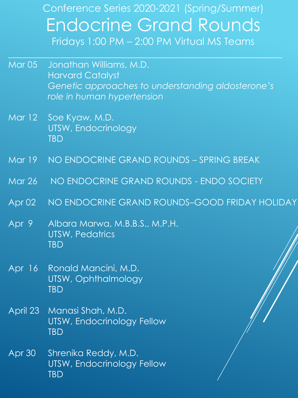Conference Series 2020-2021 (Spring/Summer) Endocrine Grand Rounds Fridays 1:00 PM – 2:00 PM Virtual MS Teams

Mar 05 Jonathan Williams, M.D. Harvard Catalyst *Genetic approaches to understanding aldosterone's role in human hypertension*

 $\mathcal{L}_\text{max}$  and the contract of the contract of the contract of the contract of the contract of the contract of the contract of the contract of the contract of the contract of the contract of the contract of the contrac

- Mar 12 Soe Kyaw, M.D. UTSW, Endocrinology TBD
- Mar 19 NO ENDOCRINE GRAND ROUNDS SPRING BREAK
- Mar 26 NO ENDOCRINE GRAND ROUNDS ENDO SOCIETY
- Apr 02 NO ENDOCRINE GRAND ROUNDS–GOOD FRIDAY HOLIDAY
- Apr 9 Albara Marwa, M.B.B.S., M.P.H. UTSW, Pedatrics **TBD**
- Apr 16 Ronald Mancini, M.D. UTSW, Ophthalmology **TBD**
- April 23 Manasi Shah, M.D. UTSW, Endocrinology Fellow **TBD**
- Apr 30 Shrenika Reddy, M.D. UTSW, Endocrinology Fellow TBD